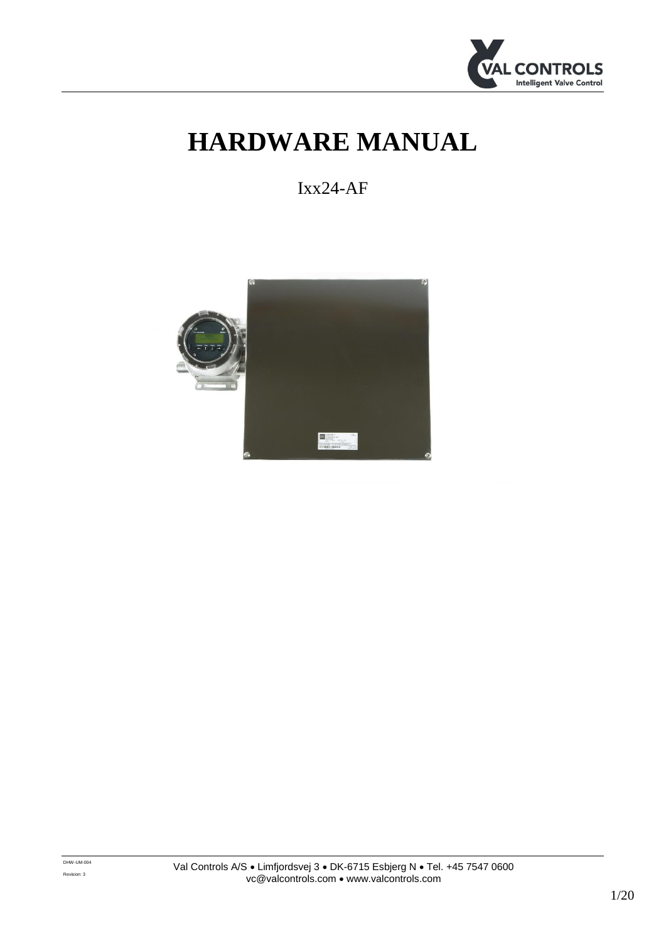

# **HARDWARE MANUAL**

Ixx24-AF

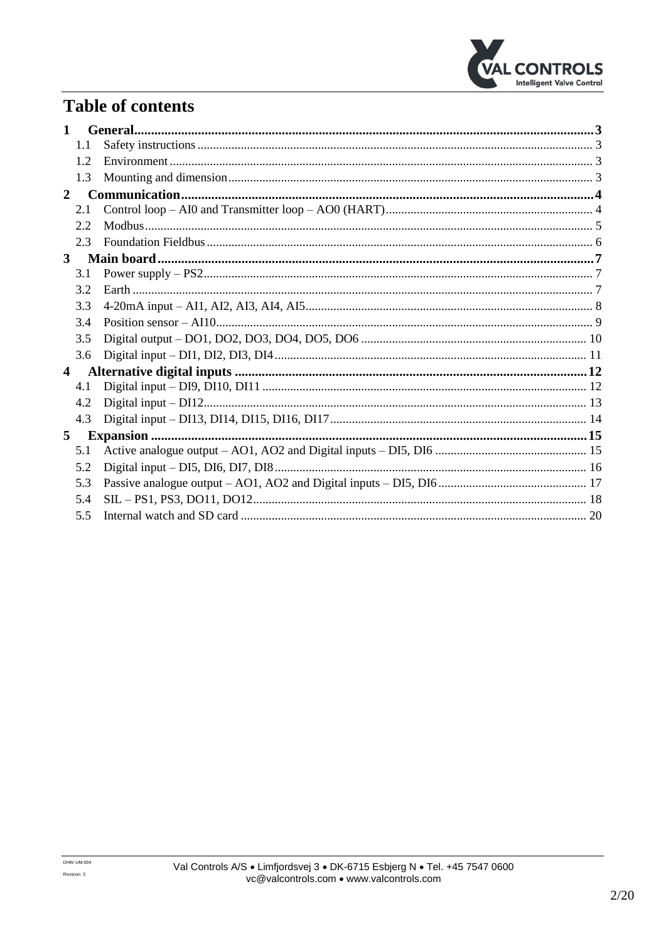

## **Table of contents**

| $\mathbf{1}$   |     |  |
|----------------|-----|--|
|                | 1.1 |  |
|                | 12  |  |
|                | 1.3 |  |
| $\mathbf{2}$   |     |  |
|                | 2.1 |  |
|                | 2.2 |  |
|                | 2.3 |  |
| $3^{\circ}$    |     |  |
|                | 3.1 |  |
|                | 3.2 |  |
|                | 3.3 |  |
|                | 3.4 |  |
|                | 3.5 |  |
|                | 3.6 |  |
| $\overline{4}$ |     |  |
|                | 4.1 |  |
|                | 4.2 |  |
|                | 4.3 |  |
| 5              |     |  |
|                | 5.1 |  |
|                | 5.2 |  |
|                | 5.3 |  |
|                | 5.4 |  |
|                | 5.5 |  |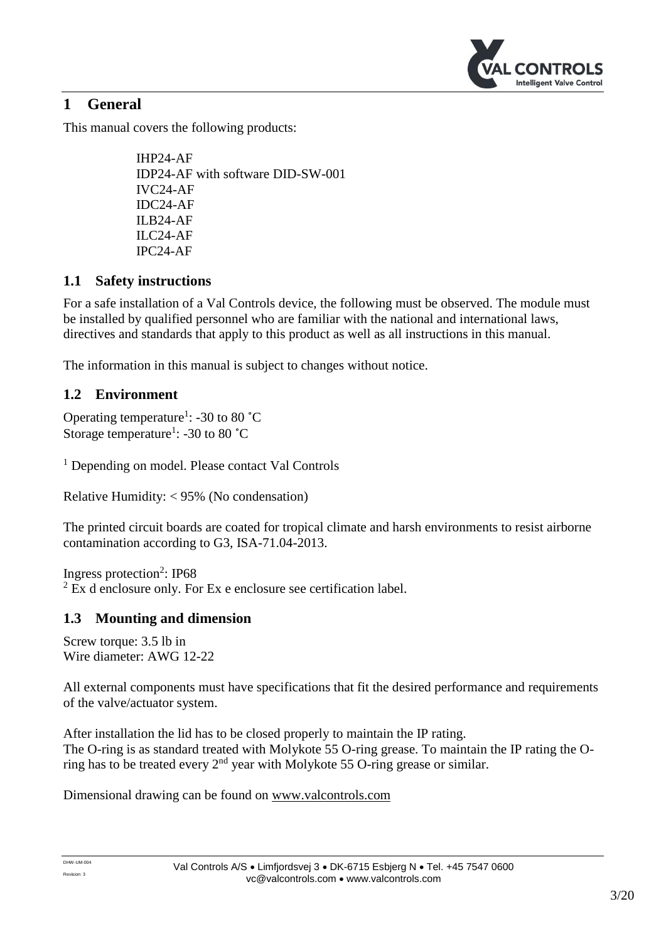

## <span id="page-2-0"></span>**1 General**

This manual covers the following products:

IHP24-AF IDP24-AF with software DID-SW-001 IVC24-AF IDC24-AF ILB24-AF ILC24-AF IPC24-AF

## <span id="page-2-1"></span>**1.1 Safety instructions**

For a safe installation of a Val Controls device, the following must be observed. The module must be installed by qualified personnel who are familiar with the national and international laws, directives and standards that apply to this product as well as all instructions in this manual.

The information in this manual is subject to changes without notice.

## <span id="page-2-2"></span>**1.2 Environment**

Operating temperature<sup>1</sup>: -30 to 80  $^{\circ}$ C Storage temperature<sup>1</sup>: -30 to 80 °C

<sup>1</sup> Depending on model. Please contact Val Controls

Relative Humidity: < 95% (No condensation)

The printed circuit boards are coated for tropical climate and harsh environments to resist airborne contamination according to G3, ISA-71.04-2013.

Ingress protection<sup>2</sup>: IP68  $2$  Ex d enclosure only. For Ex e enclosure see certification label.

## <span id="page-2-3"></span>**1.3 Mounting and dimension**

Screw torque: 3.5 lb in Wire diameter: AWG 12-22

All external components must have specifications that fit the desired performance and requirements of the valve/actuator system.

After installation the lid has to be closed properly to maintain the IP rating. The O-ring is as standard treated with Molykote 55 O-ring grease. To maintain the IP rating the Oring has to be treated every 2nd year with Molykote 55 O-ring grease or similar.

Dimensional drawing can be found on [www.valcontrols.com](http://www.valcontrols.com/)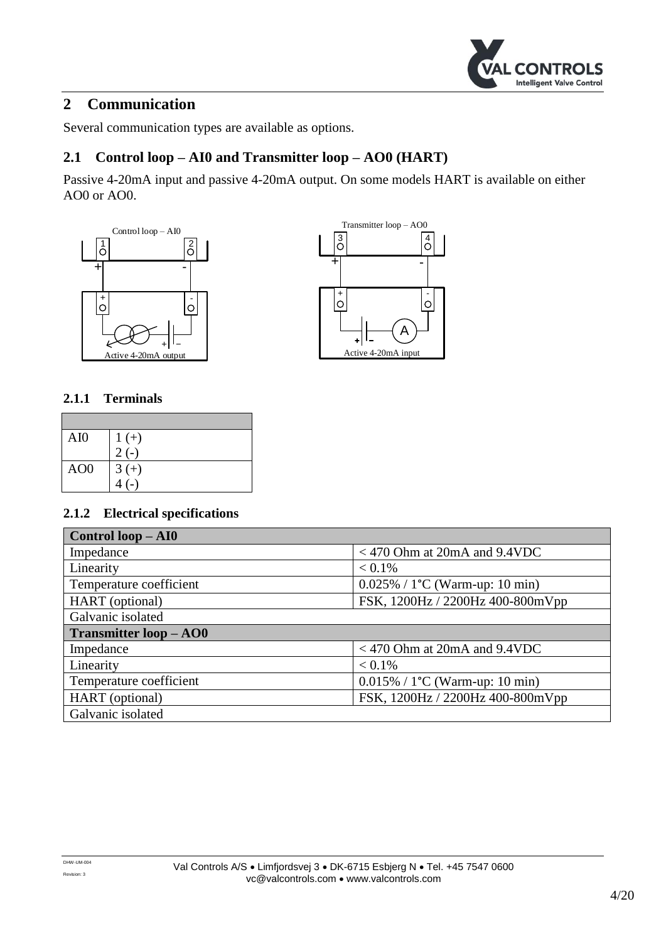

## <span id="page-3-0"></span>**2 Communication**

Several communication types are available as options.

## <span id="page-3-1"></span>**2.1 Control loop – AI0 and Transmitter loop – AO0 (HART)**

Passive 4-20mA input and passive 4-20mA output. On some models HART is available on either AO0 or AO0.





#### **2.1.1 Terminals**

| AI0             | $1 (+)$ |
|-----------------|---------|
|                 | $2(-)$  |
| AO <sub>0</sub> | $3 (+)$ |
|                 |         |

| Control loop - AI0            |                                          |  |  |
|-------------------------------|------------------------------------------|--|--|
| Impedance                     | $<$ 470 Ohm at 20mA and 9.4VDC           |  |  |
| Linearity                     | $< 0.1\%$                                |  |  |
| Temperature coefficient       | $0.025\% / 1^{\circ}C$ (Warm-up: 10 min) |  |  |
| HART (optional)               | FSK, 1200Hz / 2200Hz 400-800mVpp         |  |  |
| Galvanic isolated             |                                          |  |  |
|                               |                                          |  |  |
| <b>Transmitter loop – AO0</b> |                                          |  |  |
| Impedance                     | $<$ 470 Ohm at 20mA and 9.4VDC           |  |  |
| Linearity                     | $< 0.1\%$                                |  |  |
| Temperature coefficient       | $0.015\% / 1^{\circ}C$ (Warm-up: 10 min) |  |  |
| HART (optional)               | FSK, 1200Hz / 2200Hz 400-800mVpp         |  |  |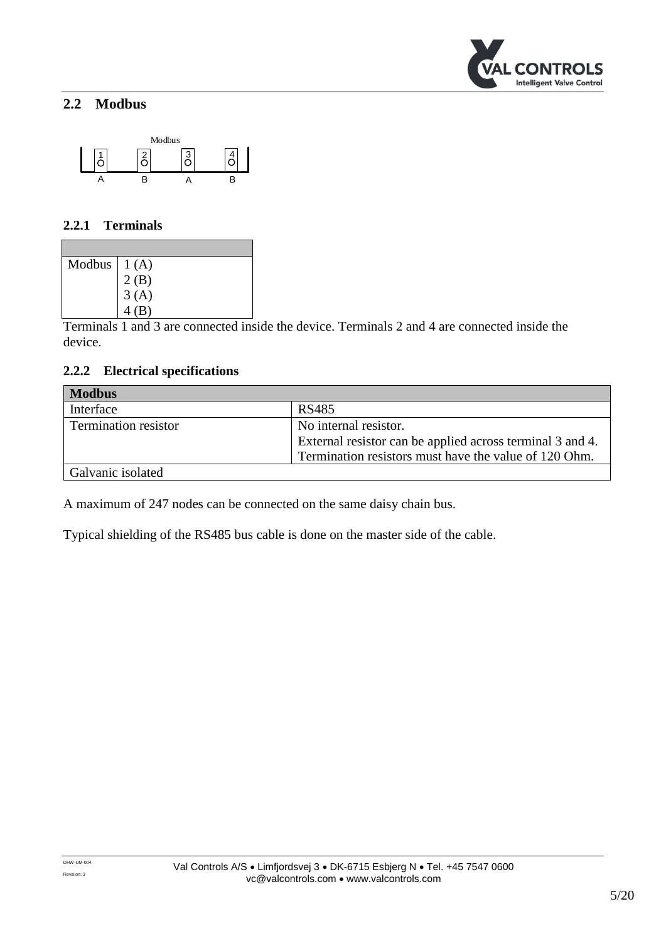

## <span id="page-4-0"></span>**2.2 Modbus**



#### **2.2.1 Terminals**

| Modbus $  1(A)$ |                  |
|-----------------|------------------|
|                 | $2(B)$<br>$3(A)$ |
|                 |                  |
|                 | 4(B)             |

Terminals 1 and 3 are connected inside the device. Terminals 2 and 4 are connected inside the device.

#### **2.2.2 Electrical specifications**

| <b>Modbus</b>               |                                                           |  |  |
|-----------------------------|-----------------------------------------------------------|--|--|
| Interface                   | RS485                                                     |  |  |
| <b>Termination resistor</b> | No internal resistor.                                     |  |  |
|                             | External resistor can be applied across terminal 3 and 4. |  |  |
|                             | Termination resistors must have the value of 120 Ohm.     |  |  |
| Galvanic isolated           |                                                           |  |  |

A maximum of 247 nodes can be connected on the same daisy chain bus.

Typical shielding of the RS485 bus cable is done on the master side of the cable.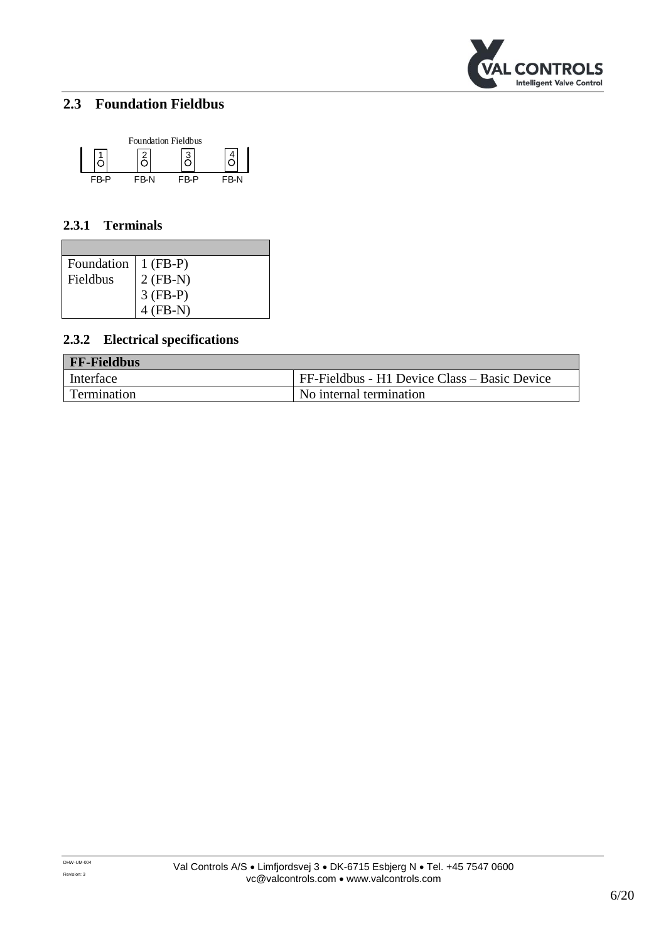

## <span id="page-5-0"></span>**2.3 Foundation Fieldbus**



#### **2.3.1 Terminals**

| Foundation   1 (FB-P) |                        |
|-----------------------|------------------------|
| Fieldbus              | $2(FB-N)$              |
|                       | $3 (FB-P)$<br>4 (FB-N) |
|                       |                        |

| <b>FF-Fieldbus</b> |                                              |  |  |
|--------------------|----------------------------------------------|--|--|
| Interface          | FF-Fieldbus - H1 Device Class – Basic Device |  |  |
| Termination        | No internal termination                      |  |  |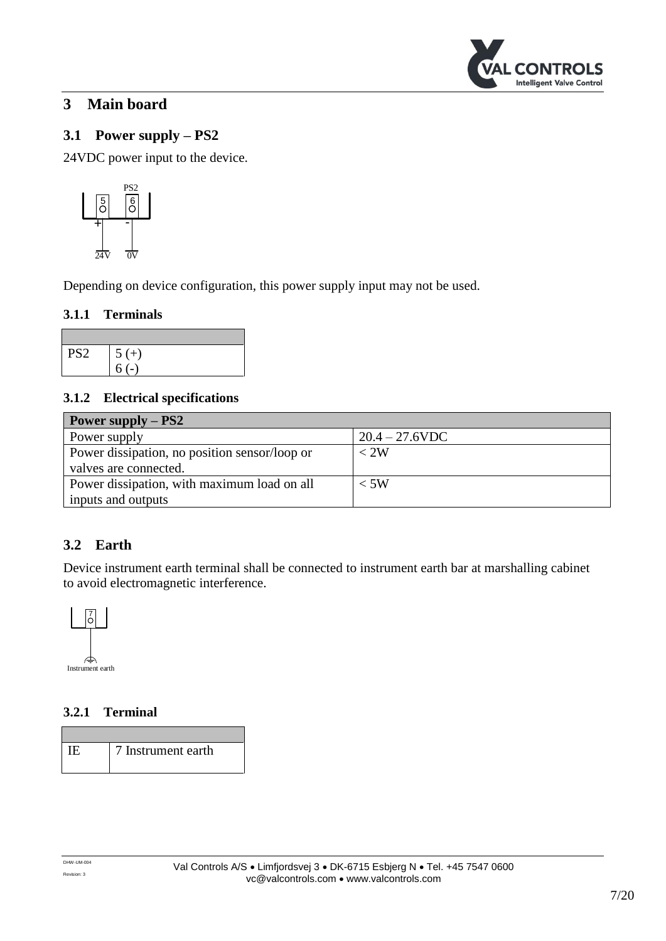

## <span id="page-6-0"></span>**3 Main board**

## <span id="page-6-1"></span>**3.1 Power supply – PS2**

24VDC power input to the device.



Depending on device configuration, this power supply input may not be used.

#### **3.1.1 Terminals**

| PS <sub>2</sub> | $5 (+)$ |
|-----------------|---------|
|                 |         |

#### **3.1.2 Electrical specifications**

| Power supply $-$ PS2                          |                   |  |  |
|-----------------------------------------------|-------------------|--|--|
| Power supply                                  | $20.4 - 27.6$ VDC |  |  |
| Power dissipation, no position sensor/loop or | $<$ 2W            |  |  |
| valves are connected.                         |                   |  |  |
| Power dissipation, with maximum load on all   | $<$ 5W            |  |  |
| inputs and outputs                            |                   |  |  |

## <span id="page-6-2"></span>**3.2 Earth**

Device instrument earth terminal shall be connected to instrument earth bar at marshalling cabinet to avoid electromagnetic interference.



### **3.2.1 Terminal**

IE 7 Instrument earth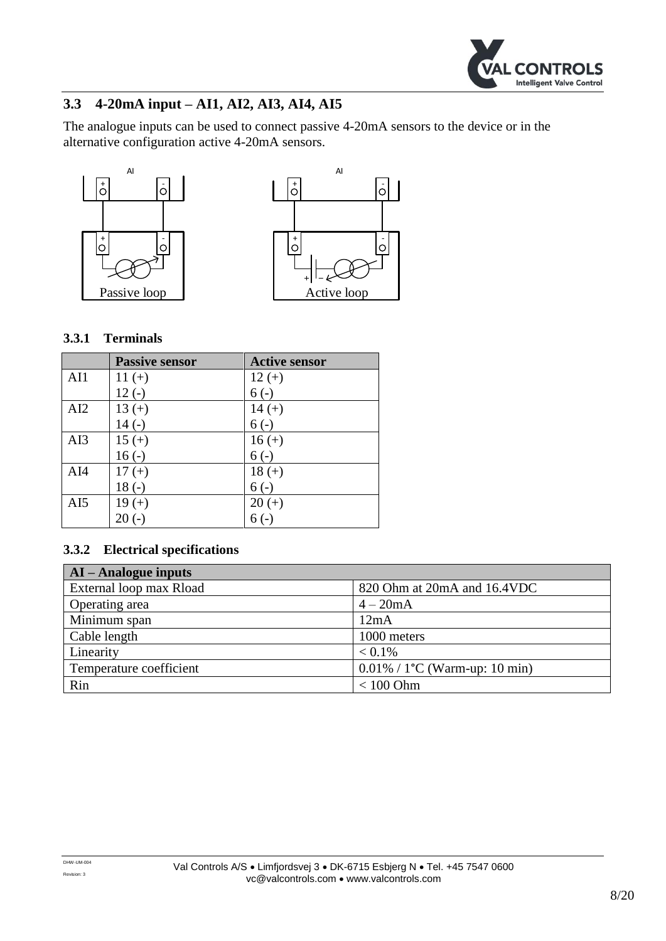

## <span id="page-7-0"></span>**3.3 4-20mA input – AI1, AI2, AI3, AI4, AI5**

The analogue inputs can be used to connect passive 4-20mA sensors to the device or in the alternative configuration active 4-20mA sensors.





#### **3.3.1 Terminals**

|     | <b>Passive sensor</b> | <b>Active sensor</b> |
|-----|-----------------------|----------------------|
| AI1 | $11 (+)$              | $12 (+)$             |
|     | $12(-)$               | $6(-)$               |
| AI2 | $13 (+)$              | $14 (+)$             |
|     | $14(-)$               | $6(-)$               |
| AI3 | $15 (+)$              | $16 (+)$             |
|     | $16(-)$               | $6(-)$               |
| AI4 | $17 (+)$              | $18 (+)$             |
|     | $18(-)$               | $6(-)$               |
| AI5 | $19 (+)$              | $20 (+)$             |
|     | $20(-)$               | $6(-)$               |

| $AI - Analogue$ inputs  |                                               |  |  |
|-------------------------|-----------------------------------------------|--|--|
| External loop max Rload | 820 Ohm at 20mA and 16.4VDC                   |  |  |
| Operating area          | $4-20mA$                                      |  |  |
| Minimum span            | 12mA                                          |  |  |
| Cable length            | 1000 meters                                   |  |  |
| Linearity               | $< 0.1\%$                                     |  |  |
| Temperature coefficient | $0.01\%$ / 1 <sup>o</sup> C (Warm-up: 10 min) |  |  |
| Rin                     | $< 100$ Ohm                                   |  |  |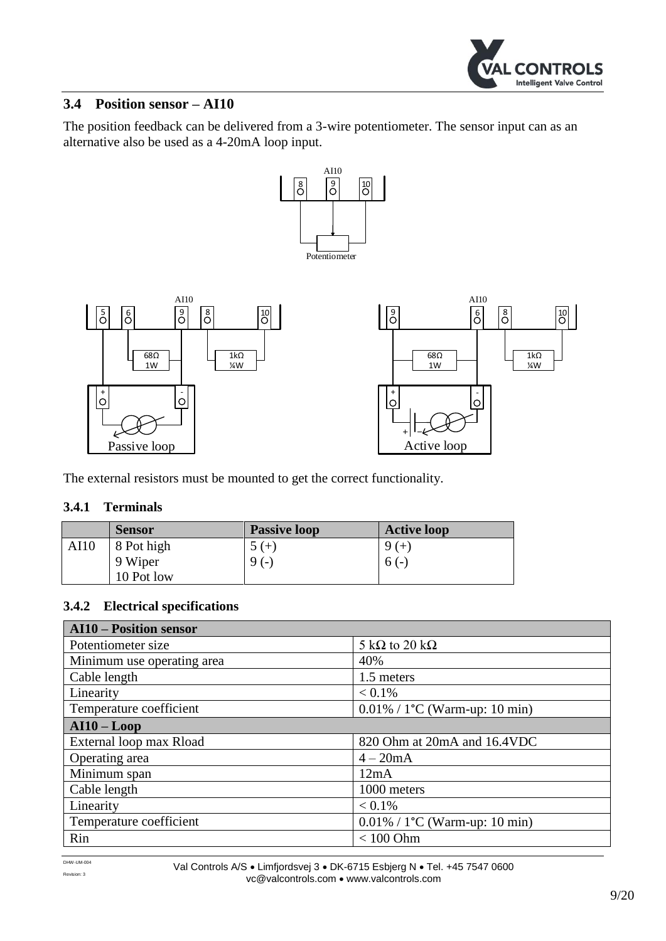

#### <span id="page-8-0"></span>**3.4 Position sensor – AI10**

The position feedback can be delivered from a 3-wire potentiometer. The sensor input can as an alternative also be used as a 4-20mA loop input.



The external resistors must be mounted to get the correct functionality.

#### **3.4.1 Terminals**

|      | <b>Sensor</b> | <b>Passive loop</b> | <b>Active loop</b> |
|------|---------------|---------------------|--------------------|
| AI10 | 8 Pot high    | $5 (+)$             | $9 (+)$            |
|      | 9 Wiper       | $9(-)$              | $6(-)$             |
|      | 10 Pot low    |                     |                    |

| <b>AI10 - Position sensor</b> |                                   |  |
|-------------------------------|-----------------------------------|--|
| Potentiometer size            | 5 k $\Omega$ to 20 k $\Omega$     |  |
| Minimum use operating area    | 40%                               |  |
| Cable length                  | 1.5 meters                        |  |
| Linearity                     | $< 0.1\%$                         |  |
| Temperature coefficient       | $0.01\% / 1$ °C (Warm-up: 10 min) |  |
| $AI10 - Loop$                 |                                   |  |
| External loop max Rload       | 820 Ohm at 20mA and 16.4VDC       |  |
| Operating area                | $4-20mA$                          |  |
| Minimum span                  | 12mA                              |  |
| Cable length                  | 1000 meters                       |  |
| Linearity                     | $< 0.1\%$                         |  |
| Temperature coefficient       | $0.01\% / 1$ °C (Warm-up: 10 min) |  |
| Rin                           | $< 100$ Ohm                       |  |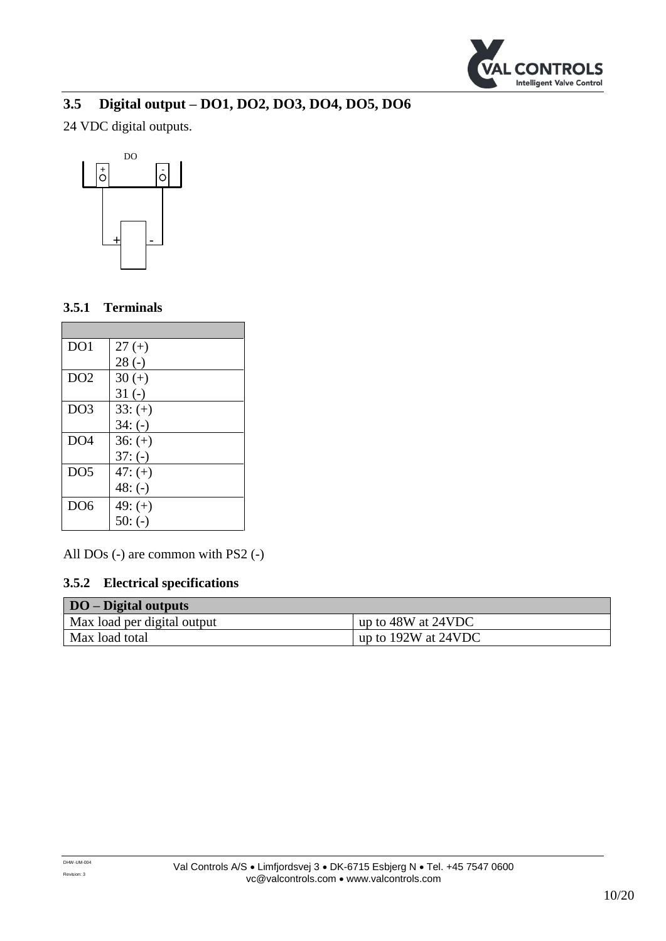

## <span id="page-9-0"></span>**3.5 Digital output – DO1, DO2, DO3, DO4, DO5, DO6**

24 VDC digital outputs.



#### **3.5.1 Terminals**

п

| DO <sub>1</sub> | $27 (+)$  |
|-----------------|-----------|
|                 | $28(-)$   |
| DO2             | $30 (+)$  |
|                 | $31(-)$   |
| DO3             | $33: (+)$ |
|                 | $34: (-)$ |
| DO <sub>4</sub> | $36: (+)$ |
|                 | $37: (-)$ |
| DO <sub>5</sub> | $47: (+)$ |
|                 | $48: (-)$ |
| DO <sub>6</sub> | $49: (+)$ |
|                 | $50: (-)$ |

All DOs (-) are common with PS2 (-)

| <b>DO</b> – Digital outputs |                         |
|-----------------------------|-------------------------|
| Max load per digital output | up to 48W at 24VDC      |
| Max load total              | up to $192W$ at $24VDC$ |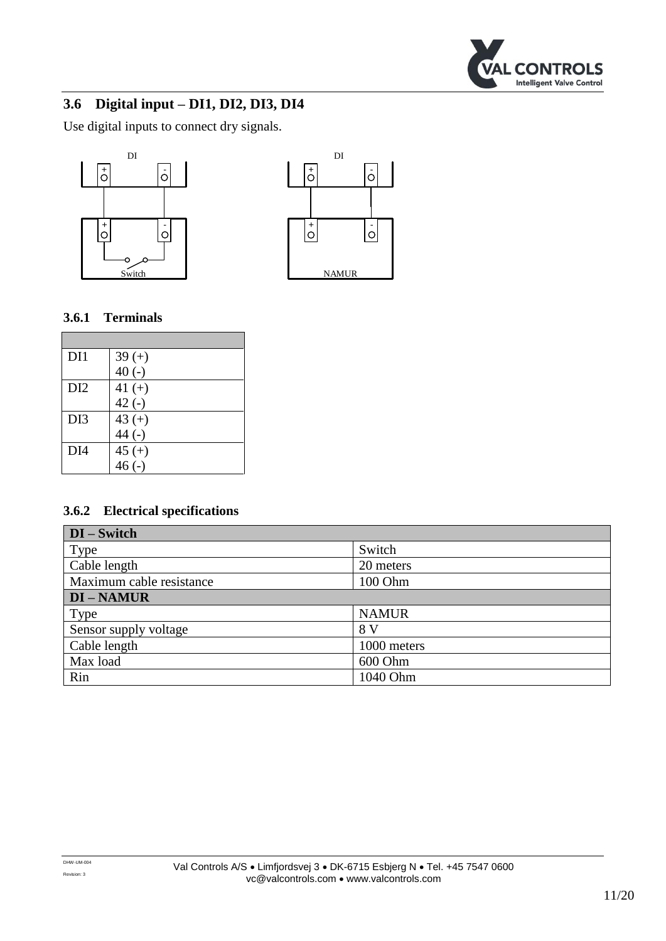

## <span id="page-10-0"></span>**3.6 Digital input – DI1, DI2, DI3, DI4**

Use digital inputs to connect dry signals.





#### **3.6.1 Terminals**

| DI1             | $39 (+)$ |
|-----------------|----------|
|                 | $40(-)$  |
| DI <sub>2</sub> | 41 $(+)$ |
|                 | $42(-)$  |
| DI3             | 43 $(+)$ |
|                 | $44$ (-) |
| DI4             | $45 (+)$ |
|                 | $46(-)$  |

| DI – Switch              |              |  |
|--------------------------|--------------|--|
| Type                     | Switch       |  |
| Cable length             | 20 meters    |  |
| Maximum cable resistance | 100 Ohm      |  |
| <b>DI-NAMUR</b>          |              |  |
| Type                     | <b>NAMUR</b> |  |
| Sensor supply voltage    | 8 V          |  |
| Cable length             | 1000 meters  |  |
| Max load                 | 600 Ohm      |  |
| Rin                      | 1040 Ohm     |  |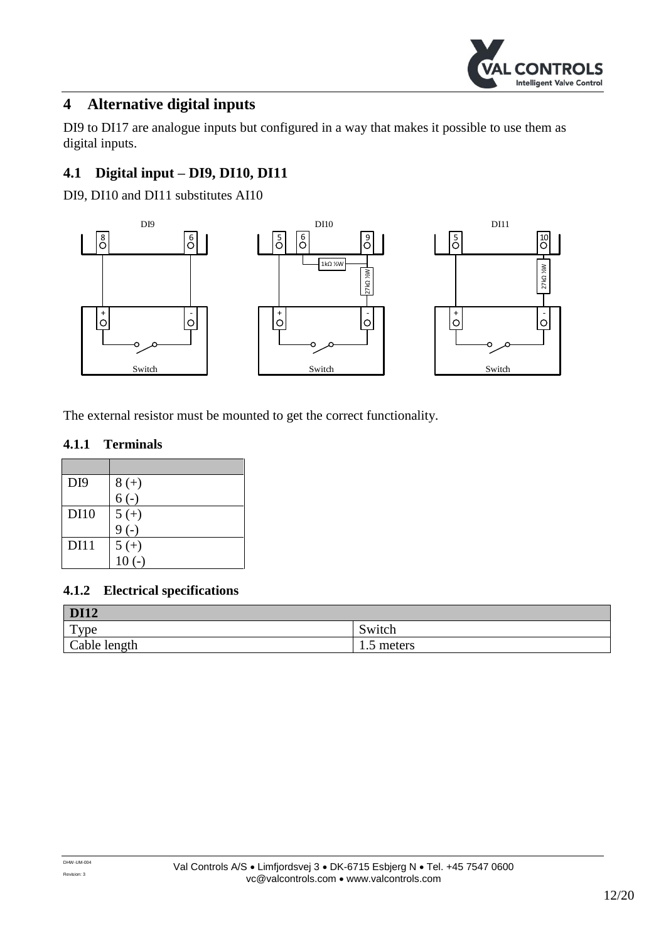

## <span id="page-11-0"></span>**4 Alternative digital inputs**

DI9 to DI17 are analogue inputs but configured in a way that makes it possible to use them as digital inputs.

## <span id="page-11-1"></span>**4.1 Digital input – DI9, DI10, DI11**

DI9, DI10 and DI11 substitutes AI10



The external resistor must be mounted to get the correct functionality.

#### **4.1.1 Terminals**

| DI <sub>9</sub> | $8 (+)$ |
|-----------------|---------|
|                 | $6(-)$  |
| <b>DI10</b>     | $5 (+)$ |
|                 | $9(-)$  |
| <b>DI11</b>     | $5 (+)$ |
|                 | $10(-)$ |

| <b>DI12</b>      |            |
|------------------|------------|
| $_{\text{Type}}$ | Switch     |
| Cable length     | 1.5 meters |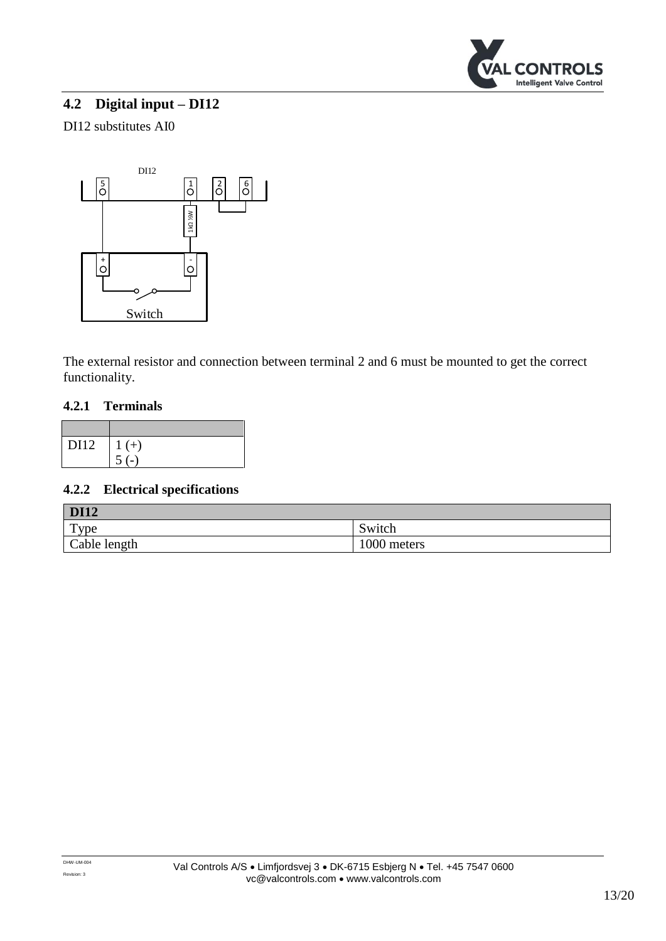

## <span id="page-12-0"></span>**4.2 Digital input – DI12**

#### DI12 substitutes AI0



The external resistor and connection between terminal 2 and 6 must be mounted to get the correct functionality.

#### **4.2.1 Terminals**

| DI12 | $\mid$ 1 (+) |
|------|--------------|
|      |              |

| <b>DI12</b>  |             |
|--------------|-------------|
| Type         | Switch      |
| Cable length | 1000 meters |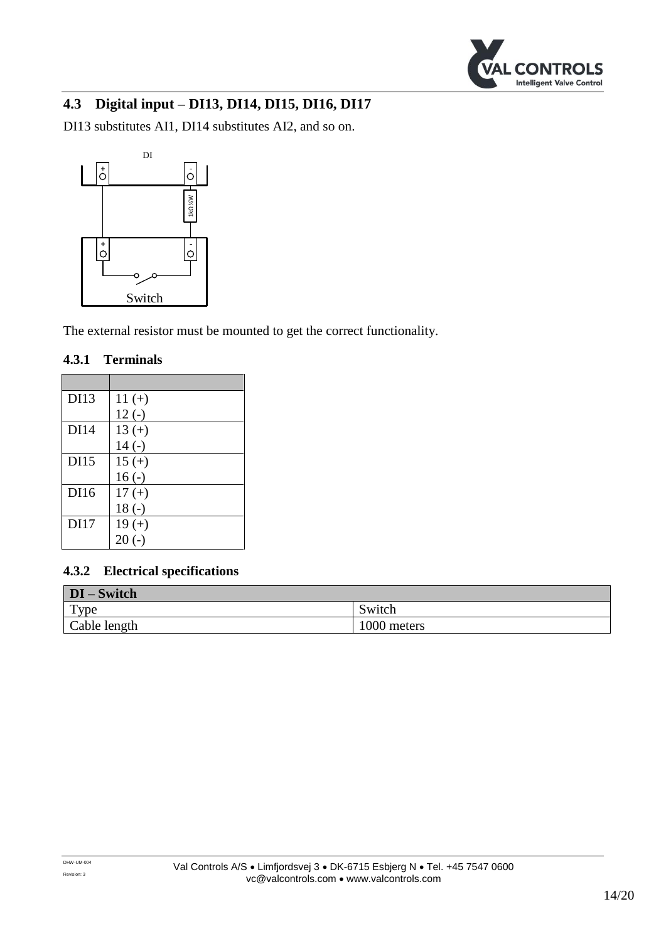

## <span id="page-13-0"></span>**4.3 Digital input – DI13, DI14, DI15, DI16, DI17**

DI13 substitutes AI1, DI14 substitutes AI2, and so on.



The external resistor must be mounted to get the correct functionality.

#### **4.3.1 Terminals**

| DI13        | $11 (+)$ |
|-------------|----------|
|             | $12(-)$  |
| <b>DI14</b> | $13 (+)$ |
|             | $14(-)$  |
| DI15        | $15 (+)$ |
|             | $16(-)$  |
| DI16        | $17 (+)$ |
|             | $18(-)$  |
| DI17        | $19 (+)$ |
|             | $20(-)$  |

| $DI - Switch$ |             |
|---------------|-------------|
| $TY$ pe       | Switch      |
| Cable length  | 1000 meters |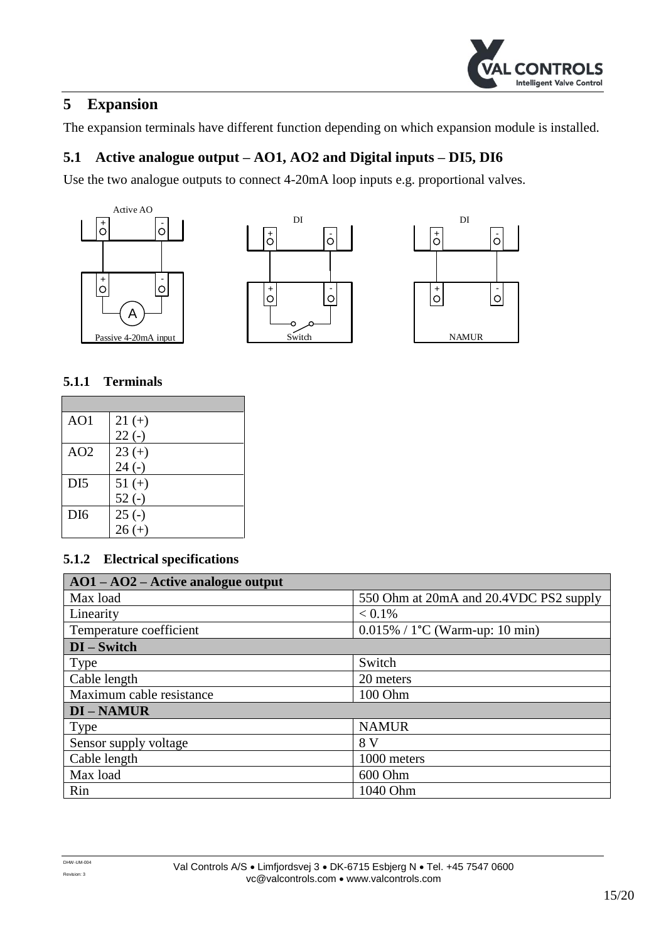

## <span id="page-14-0"></span>**5 Expansion**

The expansion terminals have different function depending on which expansion module is installed.

## <span id="page-14-1"></span>**5.1 Active analogue output – AO1, AO2 and Digital inputs – DI5, DI6**

Use the two analogue outputs to connect 4-20mA loop inputs e.g. proportional valves.







#### **5.1.1 Terminals**

| AO1             | $21 (+)$ |
|-----------------|----------|
|                 | $22(-)$  |
| AO2             | $23 (+)$ |
|                 | $24(-)$  |
| DI <sub>5</sub> | $51 (+)$ |
|                 | $52(-)$  |
| DI <sub>6</sub> | $25(-)$  |
|                 | $26 (+)$ |

| $AO1 - AO2 - Active analogue output$ |                                        |
|--------------------------------------|----------------------------------------|
| Max load                             | 550 Ohm at 20mA and 20.4VDC PS2 supply |
| Linearity                            | $< 0.1\%$                              |
| Temperature coefficient              | $0.015\%$ / 1°C (Warm-up: 10 min)      |
| $DI - Switch$                        |                                        |
| Type                                 | Switch                                 |
| Cable length                         | 20 meters                              |
| Maximum cable resistance             | 100 Ohm                                |
| <b>DI-NAMUR</b>                      |                                        |
| Type                                 | <b>NAMUR</b>                           |
| Sensor supply voltage                | 8 V                                    |
| Cable length                         | 1000 meters                            |
| Max load                             | 600 Ohm                                |
| Rin                                  | 1040 Ohm                               |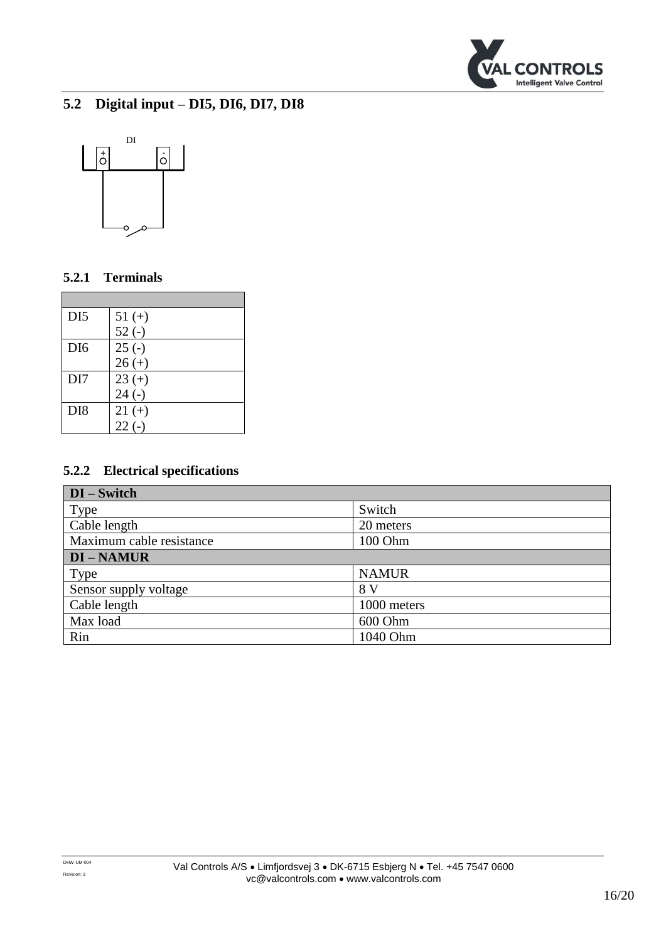

## <span id="page-15-0"></span>**5.2 Digital input – DI5, DI6, DI7, DI8**



#### **5.2.1 Terminals**

| DI <sub>5</sub> | $51 (+)$ |
|-----------------|----------|
|                 | $52(-)$  |
| DI <sub>6</sub> | $25(-)$  |
|                 | $26 (+)$ |
| DI7             | $23 (+)$ |
|                 | $24(-)$  |
| DI <sub>8</sub> | $21 (+)$ |
|                 | $22(-)$  |

| $DI - Switch$            |              |
|--------------------------|--------------|
| Type                     | Switch       |
| Cable length             | 20 meters    |
| Maximum cable resistance | 100 Ohm      |
| <b>DI-NAMUR</b>          |              |
| Type                     | <b>NAMUR</b> |
| Sensor supply voltage    | 8 V          |
| Cable length             | 1000 meters  |
| Max load                 | 600 Ohm      |
| Rin                      | 1040 Ohm     |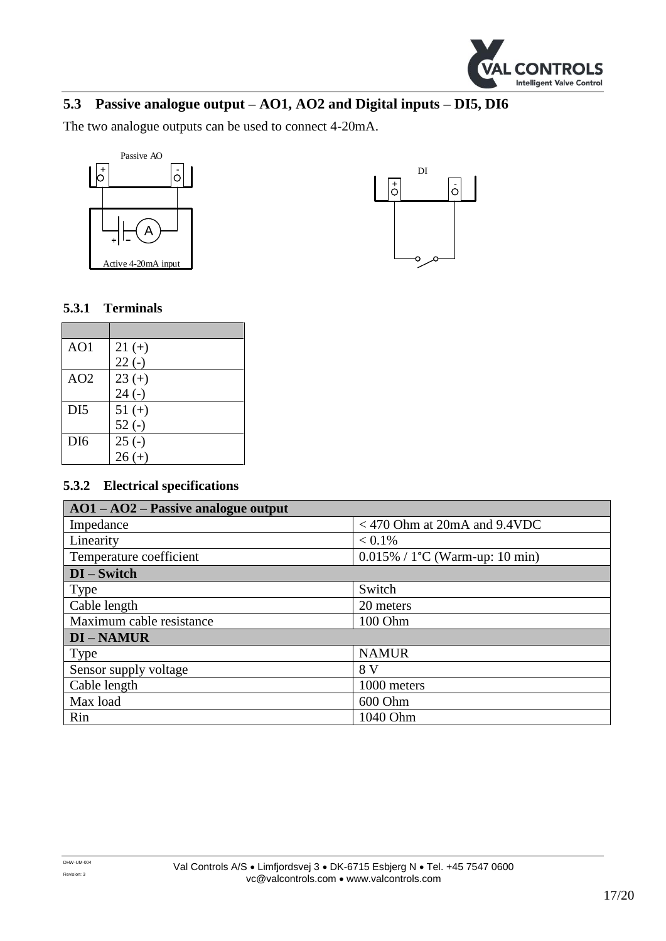

## <span id="page-16-0"></span>**5.3 Passive analogue output – AO1, AO2 and Digital inputs – DI5, DI6**

The two analogue outputs can be used to connect 4-20mA.





#### **5.3.1 Terminals**

| AO1             | $21 (+)$ |
|-----------------|----------|
|                 | $22(-)$  |
| AO2             | $23 (+)$ |
|                 | $24(-)$  |
| DI <sub>5</sub> | $51 (+)$ |
|                 | $52(-)$  |
| DI <sub>6</sub> | $25(-)$  |
|                 | $26 (+)$ |

| $AO1 - AO2 - Passive analogue output$ |                                          |
|---------------------------------------|------------------------------------------|
| Impedance                             | $<$ 470 Ohm at 20mA and 9.4VDC           |
| Linearity                             | $< 0.1\%$                                |
| Temperature coefficient               | $0.015\% / 1^{\circ}C$ (Warm-up: 10 min) |
| $DI - Switch$                         |                                          |
| Type                                  | Switch                                   |
| Cable length                          | 20 meters                                |
| Maximum cable resistance              | 100 Ohm                                  |
| <b>DI-NAMUR</b>                       |                                          |
| <b>Type</b>                           | <b>NAMUR</b>                             |
| Sensor supply voltage                 | 8 V                                      |
| Cable length                          | 1000 meters                              |
| Max load                              | 600 Ohm                                  |
| Rin                                   | 1040 Ohm                                 |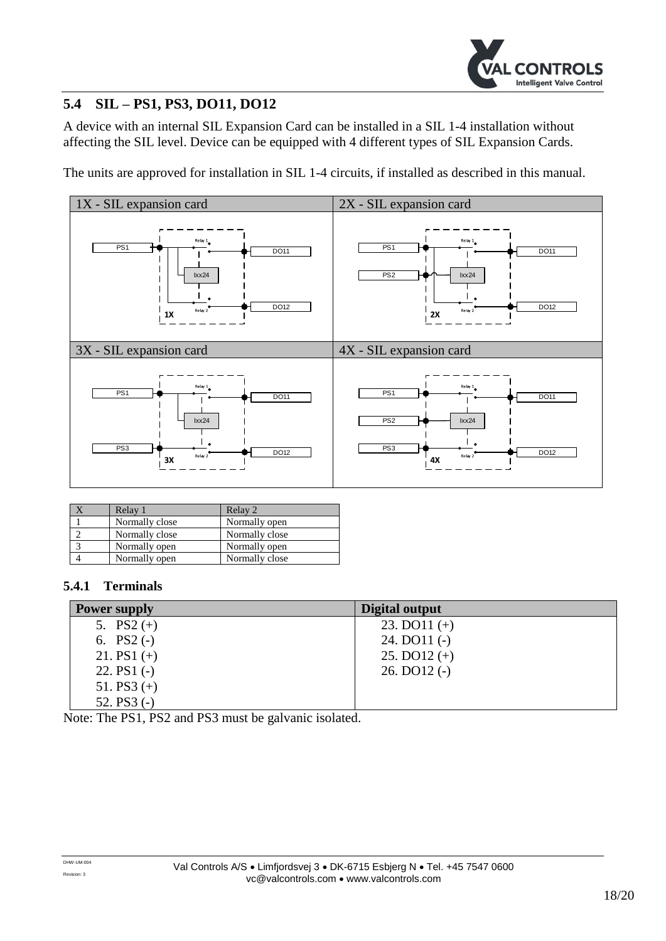

## <span id="page-17-0"></span>**5.4 SIL – PS1, PS3, DO11, DO12**

A device with an internal SIL Expansion Card can be installed in a SIL 1-4 installation without affecting the SIL level. Device can be equipped with 4 different types of SIL Expansion Cards.

The units are approved for installation in SIL 1-4 circuits, if installed as described in this manual.



| Relay 1        | Relay 2        |
|----------------|----------------|
| Normally close | Normally open  |
| Normally close | Normally close |
| Normally open  | Normally open  |
| Normally open  | Normally close |

#### **5.4.1 Terminals**

| <b>Power supply</b> | Digital output   |
|---------------------|------------------|
| 5. $PS2 (+)$        | 23. DO $11 (+)$  |
| 6. $PS2(-)$         | $24.$ DO11 $(-)$ |
| 21. PS1 $(+)$       | 25. DO $12 (+)$  |
| 22. $PS1(-)$        | $26.$ DO12 $(-)$ |
| 51. PS3 $(+)$       |                  |
| 52. $PS3(-)$        |                  |

Note: The PS1, PS2 and PS3 must be galvanic isolated.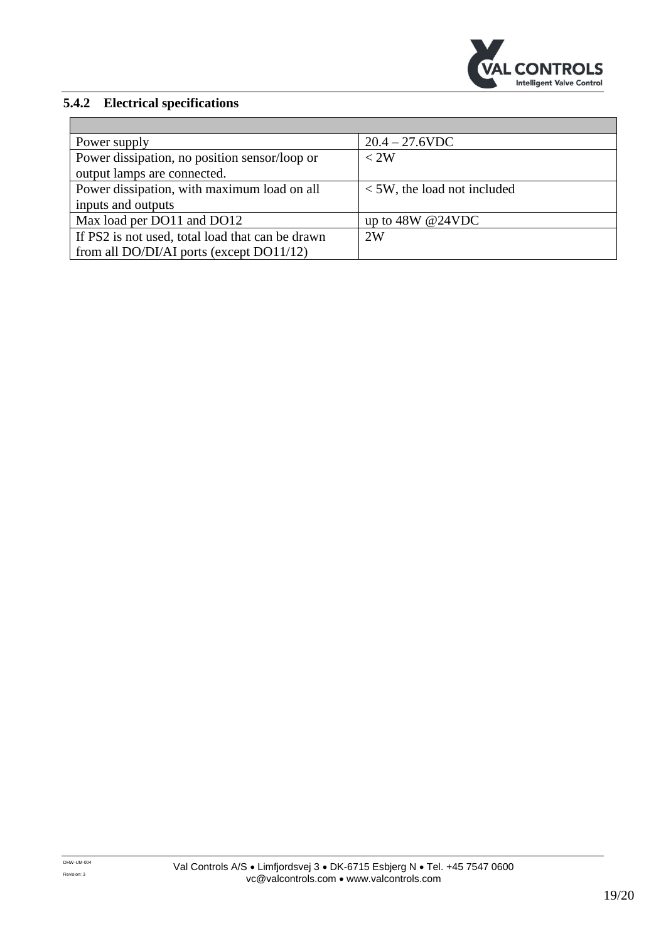

| Power supply                                     | $20.4 - 27.6$ VDC                |
|--------------------------------------------------|----------------------------------|
| Power dissipation, no position sensor/loop or    | < 2W                             |
| output lamps are connected.                      |                                  |
| Power dissipation, with maximum load on all      | $\leq$ 5W, the load not included |
| inputs and outputs                               |                                  |
| Max load per DO11 and DO12                       | up to $48W @ 24VDC$              |
| If PS2 is not used, total load that can be drawn | 2W                               |
| from all DO/DI/AI ports (except DO11/12)         |                                  |